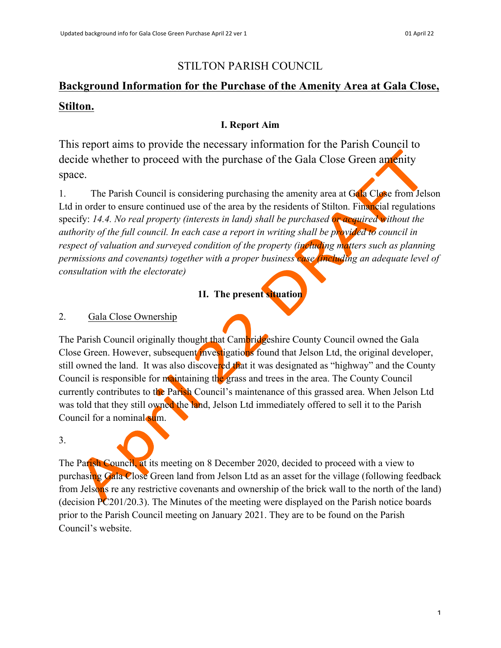# STILTON PARISH COUNCIL

# **Background Information for the Purchase of the Amenity Area at Gala Close, Stilton.**

### **I. Report Aim**

This report aims to provide the necessary information for the Parish Council to decide whether to proceed with the purchase of the Gala Close Green amenity space.

1. The Parish Council is considering purchasing the amenity area at Gala Close from Jelson Ltd in order to ensure continued use of the area by the residents of Stilton. Financial regulations specify: *14.4. No real property (interests in land) shall be purchased or acquired without the authority of the full council. In each case a report in writing shall be provided to council in respect of valuation and surveyed condition of the property (including matters such as planning permissions and covenants) together with a proper business case (including an adequate level of consultation with the electorate)*

# **1I. The present situation**

### 2. Gala Close Ownership

The Parish Council originally thought that Cambridgeshire County Council owned the Gala Close Green. However, subsequent investigations found that Jelson Ltd, the original developer, still owned the land. It was also discovered that it was designated as "highway" and the County Council is responsible for maintaining the grass and trees in the area. The County Council currently contributes to the Parish Council's maintenance of this grassed area. When Jelson Ltd was told that they still owned the land, Jelson Ltd immediately offered to sell it to the Parish Council for a nominal sum.

3.

The Parish Council, at its meeting on 8 December 2020, decided to proceed with a view to purchasing Gala Close Green land from Jelson Ltd as an asset for the village (following feedback from Jelsons re any restrictive covenants and ownership of the brick wall to the north of the land) (decision PC201/20.3). The Minutes of the meeting were displayed on the Parish notice boards prior to the Parish Council meeting on January 2021. They are to be found on the Parish Council's website.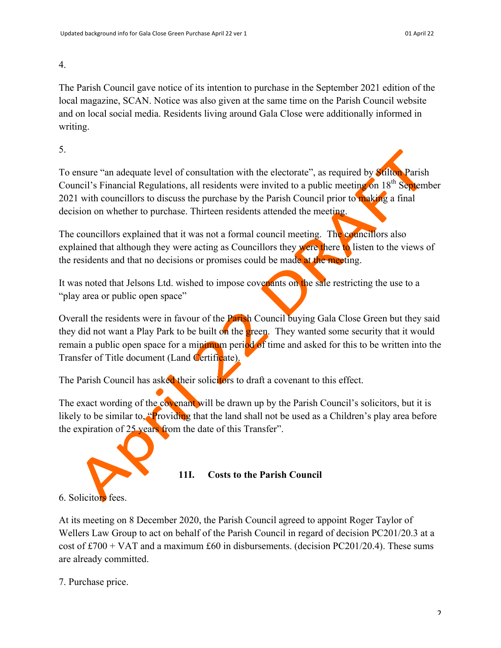4.

The Parish Council gave notice of its intention to purchase in the September 2021 edition of the local magazine, SCAN. Notice was also given at the same time on the Parish Council website and on local social media. Residents living around Gala Close were additionally informed in writing.

5.

To ensure "an adequate level of consultation with the electorate", as required by Stilton Parish Council's Financial Regulations, all residents were invited to a public meeting on 18<sup>th</sup> September 2021 with councillors to discuss the purchase by the Parish Council prior to making a final decision on whether to purchase. Thirteen residents attended the meeting.

The councillors explained that it was not a formal council meeting. The councillors also explained that although they were acting as Councillors they were there to listen to the views of the residents and that no decisions or promises could be made at the meeting.

It was noted that Jelsons Ltd. wished to impose covenants on the sale restricting the use to a "play area or public open space"

Overall the residents were in favour of the Parish Council buying Gala Close Green but they said they did not want a Play Park to be built on the green. They wanted some security that it would remain a public open space for a minimum period of time and asked for this to be written into the Transfer of Title document (Land Certificate).

The Parish Council has asked their solicitors to draft a covenant to this effect.

The exact wording of the covenant will be drawn up by the Parish Council's solicitors, but it is likely to be similar to, "Providing that the land shall not be used as a Children's play area before the expiration of 25 years from the date of this Transfer".



# **11I. Costs to the Parish Council**

6. Solicitors fees.

At its meeting on 8 December 2020, the Parish Council agreed to appoint Roger Taylor of Wellers Law Group to act on behalf of the Parish Council in regard of decision PC201/20.3 at a cost of  $\text{\pounds}700 + \text{VAT}$  and a maximum  $\text{\pounds}60$  in disbursements. (decision PC201/20.4). These sums are already committed.

7. Purchase price.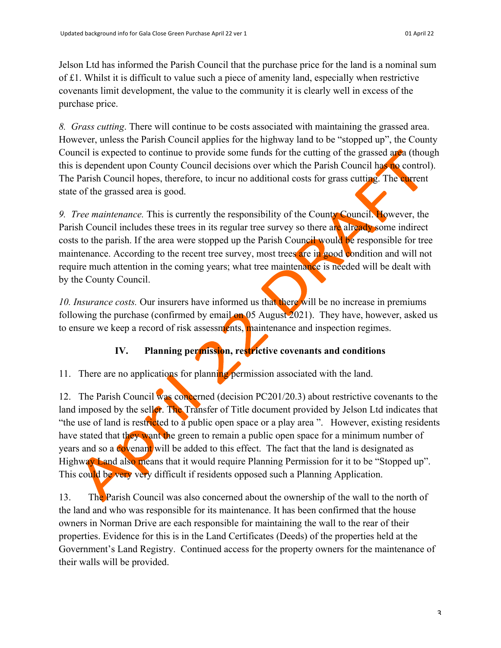Jelson Ltd has informed the Parish Council that the purchase price for the land is a nominal sum of £1. Whilst it is difficult to value such a piece of amenity land, especially when restrictive covenants limit development, the value to the community it is clearly well in excess of the purchase price.

*8. Grass cutting*. There will continue to be costs associated with maintaining the grassed area. However, unless the Parish Council applies for the highway land to be "stopped up", the County Council is expected to continue to provide some funds for the cutting of the grassed area (though this is dependent upon County Council decisions over which the Parish Council has no control). The Parish Council hopes, therefore, to incur no additional costs for grass cutting. The current state of the grassed area is good.

*9. Tree maintenance.* This is currently the responsibility of the County Council. However, the Parish Council includes these trees in its regular tree survey so there are already some indirect costs to the parish. If the area were stopped up the Parish Council would be responsible for tree maintenance. According to the recent tree survey, most trees are in good condition and will not require much attention in the coming years; what tree maintenance is needed will be dealt with by the County Council.

*10. Insurance costs.* Our insurers have informed us that there will be no increase in premiums following the purchase (confirmed by email on 05 August 2021). They have, however, asked us to ensure we keep a record of risk assessments, maintenance and inspection regimes.

# **IV. Planning permission, restrictive covenants and conditions**

11. There are no applications for planning permission associated with the land.

12. The Parish Council was concerned (decision PC201/20.3) about restrictive covenants to the land imposed by the seller. The Transfer of Title document provided by Jelson Ltd indicates that "the use of land is restricted to a public open space or a play area". However, existing residents have stated that they want the green to remain a public open space for a minimum number of years and so a covenant will be added to this effect. The fact that the land is designated as Highway Land also means that it would require Planning Permission for it to be "Stopped up". This could be very very difficult if residents opposed such a Planning Application.

13. The Parish Council was also concerned about the ownership of the wall to the north of the land and who was responsible for its maintenance. It has been confirmed that the house owners in Norman Drive are each responsible for maintaining the wall to the rear of their properties. Evidence for this is in the Land Certificates (Deeds) of the properties held at the Government's Land Registry. Continued access for the property owners for the maintenance of their walls will be provided.